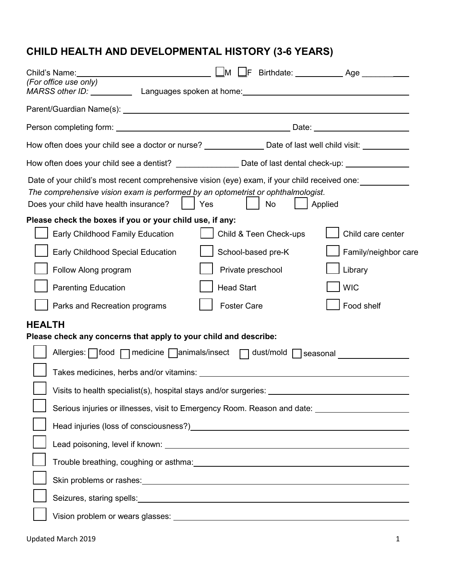## **CHILD HEALTH AND DEVELOPMENTAL HISTORY (3-6 YEARS)**

| Child's Name:                                                                                                                                                                                                                      | $\Box$ M<br>l IF.                                                                                                                                                                                                              | Birthdate: _______________ Age ____________ |  |  |
|------------------------------------------------------------------------------------------------------------------------------------------------------------------------------------------------------------------------------------|--------------------------------------------------------------------------------------------------------------------------------------------------------------------------------------------------------------------------------|---------------------------------------------|--|--|
| (For office use only)<br>MARSS other ID: Languages spoken at home: MARSS other ID: National Languages spoken at home:                                                                                                              |                                                                                                                                                                                                                                |                                             |  |  |
|                                                                                                                                                                                                                                    |                                                                                                                                                                                                                                |                                             |  |  |
| Person completing form: Notified and Second Library Contracts and Date: Note: Note: Note: Note: Note: Note: No                                                                                                                     |                                                                                                                                                                                                                                |                                             |  |  |
| How often does your child see a doctor or nurse? _________________ Date of last well child visit: ___________                                                                                                                      |                                                                                                                                                                                                                                |                                             |  |  |
| How often does your child see a dentist? ______________________Date of last dental check-up: ________________                                                                                                                      |                                                                                                                                                                                                                                |                                             |  |  |
| Date of your child's most recent comprehensive vision (eye) exam, if your child received one:<br>The comprehensive vision exam is performed by an optometrist or ophthalmologist.<br>Does your child have health insurance?<br>Yes | No                                                                                                                                                                                                                             | Applied                                     |  |  |
| Please check the boxes if you or your child use, if any:                                                                                                                                                                           |                                                                                                                                                                                                                                |                                             |  |  |
| Early Childhood Family Education                                                                                                                                                                                                   | Child & Teen Check-ups                                                                                                                                                                                                         | Child care center                           |  |  |
| Early Childhood Special Education                                                                                                                                                                                                  | School-based pre-K                                                                                                                                                                                                             | Family/neighbor care                        |  |  |
| Follow Along program                                                                                                                                                                                                               | Private preschool                                                                                                                                                                                                              | Library                                     |  |  |
| <b>Parenting Education</b>                                                                                                                                                                                                         | <b>Head Start</b>                                                                                                                                                                                                              | <b>WIC</b>                                  |  |  |
| Parks and Recreation programs                                                                                                                                                                                                      | <b>Foster Care</b>                                                                                                                                                                                                             | Food shelf                                  |  |  |
| <b>HEALTH</b>                                                                                                                                                                                                                      |                                                                                                                                                                                                                                |                                             |  |  |
| Please check any concerns that apply to your child and describe:                                                                                                                                                                   |                                                                                                                                                                                                                                |                                             |  |  |
| Allergies: $\Box$ food $\Box$ medicine $\Box$ animals/insect $\Box$ dust/mold $\Box$ seasonal                                                                                                                                      |                                                                                                                                                                                                                                |                                             |  |  |
|                                                                                                                                                                                                                                    |                                                                                                                                                                                                                                |                                             |  |  |
| Visits to health specialist(s), hospital stays and/or surgeries:                                                                                                                                                                   |                                                                                                                                                                                                                                |                                             |  |  |
| Serious injuries or illnesses, visit to Emergency Room. Reason and date: __________________________                                                                                                                                |                                                                                                                                                                                                                                |                                             |  |  |
| Head injuries (loss of consciousness?) [2012] [2013] [2013] [2014] [2014] [2014] [2014] [2014] [2014] [2014] [                                                                                                                     |                                                                                                                                                                                                                                |                                             |  |  |
|                                                                                                                                                                                                                                    |                                                                                                                                                                                                                                |                                             |  |  |
|                                                                                                                                                                                                                                    | Trouble breathing, coughing or asthma: Manual Account of the Contract of the Contract of the Contract of the Contract of the Contract of the Contract of the Contract of the Contract of the Contract of the Contract of the C |                                             |  |  |
| Skin problems or rashes: example and a state of the state of the state of the state of the state of the state of the state of the state of the state of the state of the state of the state of the state of the state of the s     |                                                                                                                                                                                                                                |                                             |  |  |
|                                                                                                                                                                                                                                    |                                                                                                                                                                                                                                |                                             |  |  |
|                                                                                                                                                                                                                                    |                                                                                                                                                                                                                                |                                             |  |  |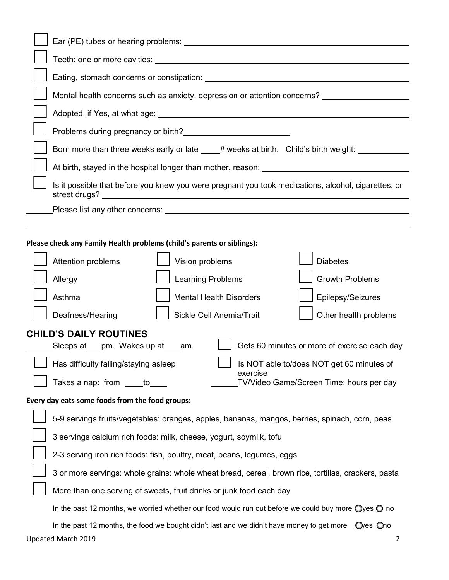|                                                                        | Mental health concerns such as anxiety, depression or attention concerns?                                                                                                                                                             |  |  |  |
|------------------------------------------------------------------------|---------------------------------------------------------------------------------------------------------------------------------------------------------------------------------------------------------------------------------------|--|--|--|
|                                                                        |                                                                                                                                                                                                                                       |  |  |  |
|                                                                        | Problems during pregnancy or birth?<br><u>[</u> [16] Drawing the state of the state of the state of the state of the state of the state of the state of the state of the state of the state of the state of the state of the state of |  |  |  |
|                                                                        | Born more than three weeks early or late ____# weeks at birth. Child's birth weight: ___________                                                                                                                                      |  |  |  |
|                                                                        |                                                                                                                                                                                                                                       |  |  |  |
|                                                                        | Is it possible that before you knew you were pregnant you took medications, alcohol, cigarettes, or                                                                                                                                   |  |  |  |
|                                                                        |                                                                                                                                                                                                                                       |  |  |  |
| Please check any Family Health problems (child's parents or siblings): |                                                                                                                                                                                                                                       |  |  |  |
|                                                                        | Vision problems<br>Attention problems<br><b>Diabetes</b>                                                                                                                                                                              |  |  |  |
|                                                                        | Learning Problems<br><b>Growth Problems</b><br>Allergy                                                                                                                                                                                |  |  |  |
|                                                                        | <b>Mental Health Disorders</b><br>Epilepsy/Seizures<br>Asthma                                                                                                                                                                         |  |  |  |
|                                                                        | Sickle Cell Anemia/Trait<br>Deafness/Hearing<br>Other health problems                                                                                                                                                                 |  |  |  |
|                                                                        | <b>CHILD'S DAILY ROUTINES</b>                                                                                                                                                                                                         |  |  |  |
|                                                                        | Gets 60 minutes or more of exercise each day<br>Sleeps at ___ pm. Wakes up at ___ am.                                                                                                                                                 |  |  |  |
|                                                                        | Is NOT able to/does NOT get 60 minutes of<br>Has difficulty falling/staying asleep                                                                                                                                                    |  |  |  |
|                                                                        | exercise<br>Takes a nap: from _____to___<br>TV/Video Game/Screen Time: hours per day                                                                                                                                                  |  |  |  |
| Every day eats some foods from the food groups:                        |                                                                                                                                                                                                                                       |  |  |  |
|                                                                        | 5-9 servings fruits/vegetables: oranges, apples, bananas, mangos, berries, spinach, corn, peas                                                                                                                                        |  |  |  |
|                                                                        | 3 servings calcium rich foods: milk, cheese, yogurt, soymilk, tofu                                                                                                                                                                    |  |  |  |
|                                                                        | 2-3 serving iron rich foods: fish, poultry, meat, beans, legumes, eggs                                                                                                                                                                |  |  |  |
|                                                                        | 3 or more servings: whole grains: whole wheat bread, cereal, brown rice, tortillas, crackers, pasta                                                                                                                                   |  |  |  |
|                                                                        | More than one serving of sweets, fruit drinks or junk food each day                                                                                                                                                                   |  |  |  |
|                                                                        | In the past 12 months, we worried whether our food would run out before we could buy more $\bigcirc$ yes $\bigcirc$ no                                                                                                                |  |  |  |
|                                                                        | In the past 12 months, the food we bought didn't last and we didn't have money to get more $\bigcirc$ $\bigcirc$ $\bigcirc$ $\bigcirc$ $\bigcirc$ oo                                                                                  |  |  |  |
|                                                                        | Updated March 2019<br>2                                                                                                                                                                                                               |  |  |  |

**r** ٦